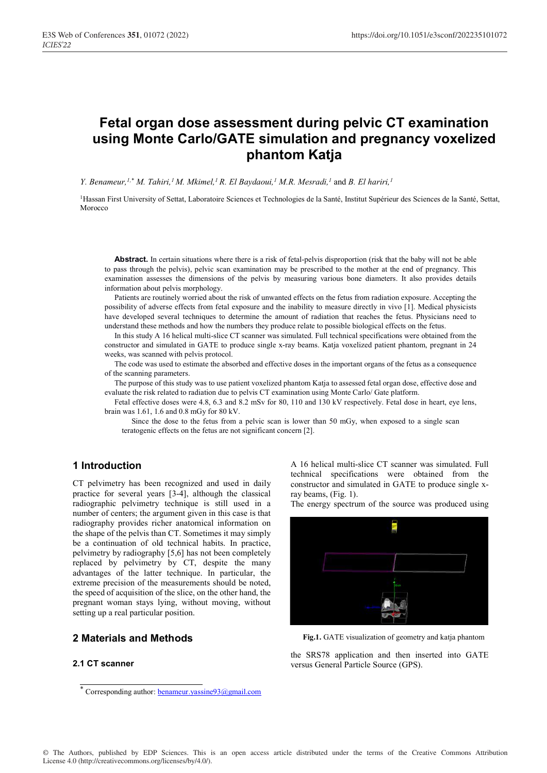# **Fetal organ dose assessment during pelvic CT examination using Monte Carlo/GATE simulation and pregnancy voxelized phantom Katja**

*Y. Benameur,<sup>1,\*</sup> M. Tahiri,<sup>1</sup> M. Mkimel,<sup>1</sup> R. El Baydaoui,<sup>1</sup> M.R. Mesradi,<sup>1</sup> and <i>B. El hariri*,<sup>1</sup>

<sup>1</sup>Hassan First University of Settat, Laboratoire Sciences et Technologies de la Santé, Institut Supérieur des Sciences de la Santé, Settat, Morocco

**Abstract.** In certain situations where there is a risk of fetal-pelvis disproportion (risk that the baby will not be able to pass through the pelvis), pelvic scan examination may be prescribed to the mother at the end of pregnancy. This examination assesses the dimensions of the pelvis by measuring various bone diameters. It also provides details information about pelvis morphology.

Patients are routinely worried about the risk of unwanted effects on the fetus from radiation exposure. Accepting the possibility of adverse effects from fetal exposure and the inability to measure directly in vivo [1]. Medical physicists have developed several techniques to determine the amount of radiation that reaches the fetus. Physicians need to understand these methods and how the numbers they produce relate to possible biological effects on the fetus.

In this study A 16 helical multi-slice CT scanner was simulated. Full technical specifications were obtained from the constructor and simulated in GATE to produce single x-ray beams. Katja voxelized patient phantom, pregnant in 24 weeks, was scanned with pelvis protocol.

The code was used to estimate the absorbed and effective doses in the important organs of the fetus as a consequence of the scanning parameters.

The purpose of this study was to use patient voxelized phantom Katja to assessed fetal organ dose, effective dose and evaluate the risk related to radiation due to pelvis CT examination using Monte Carlo/ Gate platform.

Fetal effective doses were 4.8, 6.3 and 8.2 mSv for 80, 110 and 130 kV respectively. Fetal dose in heart, eye lens, brain was 1.61, 1.6 and 0.8 mGy for 80 kV.

Since the dose to the fetus from a pelvic scan is lower than 50 mGy, when exposed to a single scan teratogenic effects on the fetus are not significant concern [2].

### **1 Introduction**

CT pelvimetry has been recognized and used in daily practice for several years [3-4], although the classical radiographic pelvimetry technique is still used in a number of centers; the argument given in this case is that radiography provides richer anatomical information on the shape of the pelvis than CT. Sometimes it may simply be a continuation of old technical habits. In practice, pelvimetry by radiography [5,6] has not been completely replaced by pelvimetry by CT, despite the many advantages of the latter technique. In particular, the extreme precision of the measurements should be noted, the speed of acquisition of the slice, on the other hand, the pregnant woman stays lying, without moving, without setting up a real particular position.

# **2 Materials and Methods**

#### **2.1 CT scanner**

A 16 helical multi-slice CT scanner was simulated. Full technical specifications were obtained from the constructor and simulated in GATE to produce single xray beams, (Fig. 1).

The energy spectrum of the source was produced using



**Fig.1.** GATE visualization of geometry and katja phantom

the SRS78 application and then inserted into GATE versus General Particle Source (GPS).

<sup>\*</sup> Corresponding author: **benameur.yassine93@gmail.com**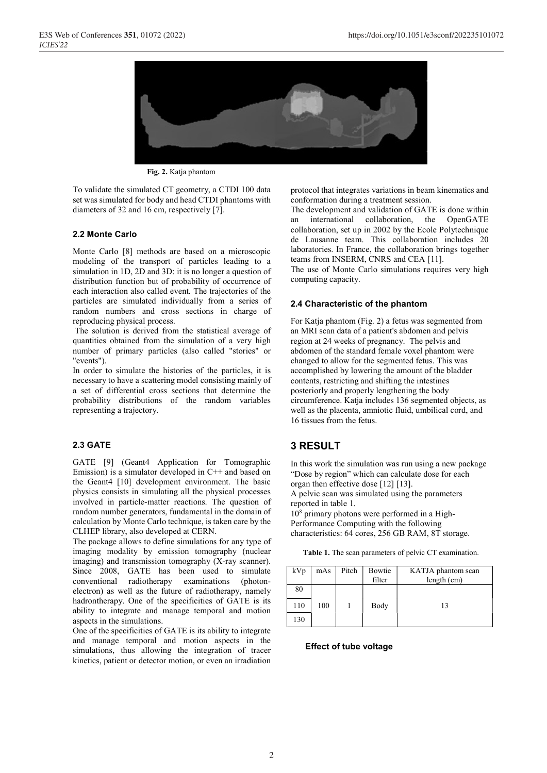

**Fig. 2.** Katja phantom

To validate the simulated CT geometry, a CTDI 100 data set was simulated for body and head CTDI phantoms with diameters of 32 and 16 cm, respectively [7].

#### **2.2 Monte Carlo**

Monte Carlo [8] methods are based on a microscopic modeling of the transport of particles leading to a simulation in 1D, 2D and 3D: it is no longer a question of distribution function but of probability of occurrence of each interaction also called event. The trajectories of the particles are simulated individually from a series of random numbers and cross sections in charge of reproducing physical process.

 The solution is derived from the statistical average of quantities obtained from the simulation of a very high number of primary particles (also called "stories" or "events").

In order to simulate the histories of the particles, it is necessary to have a scattering model consisting mainly of a set of differential cross sections that determine the probability distributions of the random variables representing a trajectory.

#### **2.3 GATE**

GATE [9] (Geant4 Application for Tomographic Emission) is a simulator developed in C++ and based on the Geant4 [10] development environment. The basic physics consists in simulating all the physical processes involved in particle-matter reactions. The question of random number generators, fundamental in the domain of calculation by Monte Carlo technique, is taken care by the CLHEP library, also developed at CERN.

The package allows to define simulations for any type of imaging modality by emission tomography (nuclear imaging) and transmission tomography (X-ray scanner). Since 2008, GATE has been used to simulate conventional radiotherapy examinations (photonelectron) as well as the future of radiotherapy, namely hadrontherapy. One of the specificities of GATE is its ability to integrate and manage temporal and motion aspects in the simulations.

One of the specificities of GATE is its ability to integrate and manage temporal and motion aspects in the simulations, thus allowing the integration of tracer kinetics, patient or detector motion, or even an irradiation protocol that integrates variations in beam kinematics and conformation during a treatment session.

The development and validation of GATE is done within an international collaboration, the OpenGATE collaboration, set up in 2002 by the Ecole Polytechnique de Lausanne team. This collaboration includes 20 laboratories. In France, the collaboration brings together teams from INSERM, CNRS and CEA [11].

The use of Monte Carlo simulations requires very high computing capacity.

#### **2.4 Characteristic of the phantom**

For Katja phantom (Fig. 2) a fetus was segmented from an MRI scan data of a patient's abdomen and pelvis region at 24 weeks of pregnancy. The pelvis and abdomen of the standard female voxel phantom were changed to allow for the segmented fetus. This was accomplished by lowering the amount of the bladder contents, restricting and shifting the intestines posteriorly and properly lengthening the body circumference. Katja includes 136 segmented objects, as well as the placenta, amniotic fluid, umbilical cord, and 16 tissues from the fetus.

# **3 RESULT**

In this work the simulation was run using a new package "Dose by region" which can calculate dose for each organ then effective dose [12] [13].

A pelvic scan was simulated using the parameters reported in table 1.

108 primary photons were performed in a High-Performance Computing with the following characteristics: 64 cores, 256 GB RAM, 8T storage.

| Table 1. The scan parameters of pelvic CT examination. |  |  |
|--------------------------------------------------------|--|--|
|--------------------------------------------------------|--|--|

| kVp | mAs | Pitch | Bowtie<br>filter | KATJA phantom scan<br>length (cm) |
|-----|-----|-------|------------------|-----------------------------------|
| 80  |     |       |                  |                                   |
| 110 | 100 |       | Body             | 13                                |
| 130 |     |       |                  |                                   |

#### **Effect of tube voltage**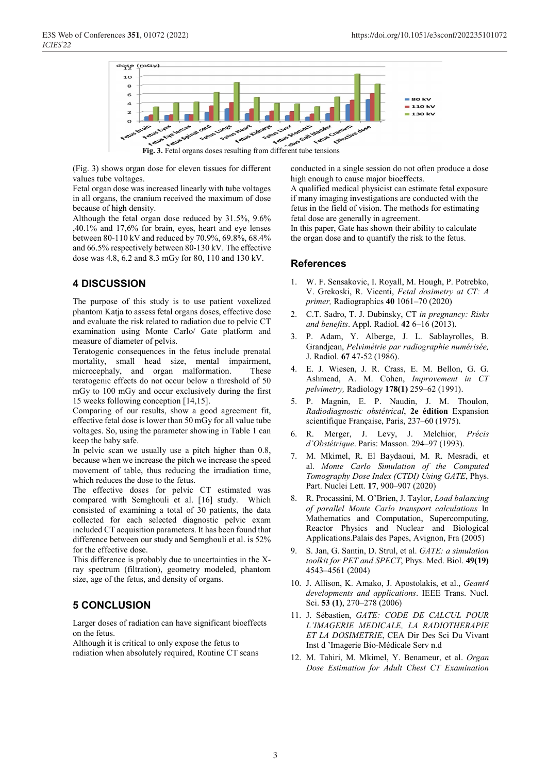

(Fig. 3) shows organ dose for eleven tissues for different values tube voltages.

Fetal organ dose was increased linearly with tube voltages in all organs, the cranium received the maximum of dose because of high density.

Although the fetal organ dose reduced by 31.5%, 9.6% ,40.1% and 17,6% for brain, eyes, heart and eye lenses between 80-110 kV and reduced by 70.9%, 69.8%, 68.4% and 66.5% respectively between 80-130 kV. The effective dose was 4.8, 6.2 and 8.3 mGy for 80, 110 and 130 kV.

# **4 DISCUSSION**

The purpose of this study is to use patient voxelized phantom Katja to assess fetal organs doses, effective dose and evaluate the risk related to radiation due to pelvic CT examination using Monte Carlo/ Gate platform and measure of diameter of pelvis.

Teratogenic consequences in the fetus include prenatal mortality, small head size, mental impairment, microcephaly, and organ malformation. These teratogenic effects do not occur below a threshold of 50 mGy to 100 mGy and occur exclusively during the first 15 weeks following conception [14,15].

Comparing of our results, show a good agreement fit, effective fetal dose is lower than 50 mGy for all value tube voltages. So, using the parameter showing in Table 1 can keep the baby safe.

In pelvic scan we usually use a pitch higher than 0.8, because when we increase the pitch we increase the speed movement of table, thus reducing the irradiation time, which reduces the dose to the fetus.

The effective doses for pelvic CT estimated was compared with Semghouli et al. [16] study. Which consisted of examining a total of 30 patients, the data collected for each selected diagnostic pelvic exam included CT acquisition parameters. It has been found that difference between our study and Semghouli et al. is 52% for the effective dose.

This difference is probably due to uncertainties in the Xray spectrum (filtration), geometry modeled, phantom size, age of the fetus, and density of organs.

# **5 CONCLUSION**

Larger doses of radiation can have significant bioeffects on the fetus.

Although it is critical to only expose the fetus to radiation when absolutely required, Routine CT scans conducted in a single session do not often produce a dose high enough to cause major bioeffects.

A qualified medical physicist can estimate fetal exposure if many imaging investigations are conducted with the fetus in the field of vision. The methods for estimating fetal dose are generally in agreement.

In this paper, Gate has shown their ability to calculate the organ dose and to quantify the risk to the fetus.

## **References**

- 1. W. F. Sensakovic, I. Royall, M. Hough, P. Potrebko, V. Grekoski, R. Vicenti, *Fetal dosimetry at CT: A primer,* Radiographics **40** 1061–70 (2020)
- 2. C.T. Sadro, T. J. Dubinsky, CT *in pregnancy: Risks and benefits*. Appl. Radiol. **42** 6–16 (2013).
- 3. P. Adam, Y. Alberge, J. L. Sablayrolles, B. Grandjean, *Pelvimétrie par radiographie numérisée,* J. Radiol. **67** 47-52 (1986).
- 4. E. J. Wiesen, J. R. Crass, E. M. Bellon, G. G. Ashmead, A. M. Cohen, *Improvement in CT pelvimetry,* Radiology **178(1)** 259–62 (1991).
- 5. P. Magnin, E. P. Naudin, J. M. Thoulon, *Radiodiagnostic obstétrical*, **2e édition** Expansion scientifique Française, Paris, 237–60 (1975).
- 6. R. Merger, J. Levy, J. Melchior, *Précis d'Obstétrique*. Paris: Masson. 294–97 (1993).
- 7. M. Mkimel, R. El Baydaoui, M. R. Mesradi, et al. *Monte Carlo Simulation of the Computed Tomography Dose Index (CTDI) Using GATE*, Phys. Part. Nuclei Lett. **17**, 900–907 (2020)
- 8. R. Procassini, M. O'Brien, J. Taylor, *Load balancing of parallel Monte Carlo transport calculations* In Mathematics and Computation, Supercomputing, Reactor Physics and Nuclear and Biological Applications.Palais des Papes, Avignon, Fra (2005)
- 9. S. Jan, G. Santin, D. Strul, et al. *GATE: a simulation toolkit for PET and SPECT*, Phys. Med. Biol. **49(19)**  4543–4561 (2004)
- 10. J. Allison, K. Amako, J. Apostolakis, et al., *Geant4 developments and applications*. IEEE Trans. Nucl. Sci. **53 (1)**, 270–278 (2006)
- 11. J. Sébastien, *GATE: CODE DE CALCUL POUR L'IMAGERIE MEDICALE, LA RADIOTHERAPIE ET LA DOSIMETRIE*, CEA Dir Des Sci Du Vivant Inst d 'Imagerie Bio-Médicale Serv n.d
- 12. M. Tahiri, M. Mkimel, Y. Benameur, et al. *Organ Dose Estimation for Adult Chest CT Examination*